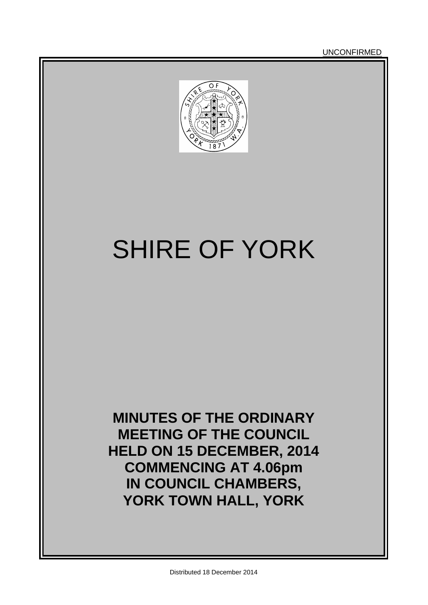**UNCONFIRMED** 



# SHIRE OF YORK

**MINUTES OF THE ORDINARY MEETING OF THE COUNCIL HELD ON 15 DECEMBER, 2014 COMMENCING AT 4.06pm IN COUNCIL CHAMBERS, YORK TOWN HALL, YORK**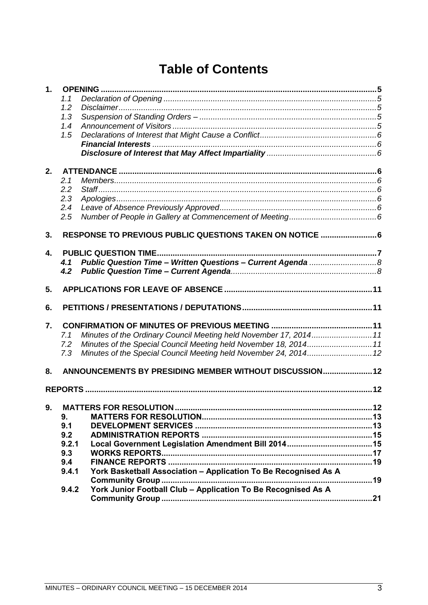# **Table of Contents**

| $\mathbf 1$ .  |                  |                                                                   |  |
|----------------|------------------|-------------------------------------------------------------------|--|
|                | 1.1              |                                                                   |  |
|                | 1.2              |                                                                   |  |
|                | 1.3              |                                                                   |  |
|                | 1.4              |                                                                   |  |
|                | 1.5              |                                                                   |  |
|                |                  |                                                                   |  |
|                |                  |                                                                   |  |
| 2.             |                  |                                                                   |  |
|                | 2.1              |                                                                   |  |
|                | 2.2              |                                                                   |  |
|                | 2.3              |                                                                   |  |
|                | 2.4              |                                                                   |  |
|                | 2.5              |                                                                   |  |
|                |                  |                                                                   |  |
| 3 <sub>1</sub> |                  | RESPONSE TO PREVIOUS PUBLIC QUESTIONS TAKEN ON NOTICE  6          |  |
|                |                  |                                                                   |  |
| 4.             |                  | <b>PUBLIC QUESTION TIME.</b>                                      |  |
|                | 4.1              |                                                                   |  |
|                | 4.2 <sub>2</sub> |                                                                   |  |
| 5.             |                  |                                                                   |  |
| 6.             |                  |                                                                   |  |
|                |                  |                                                                   |  |
| 7.             |                  |                                                                   |  |
|                | 7.1              | Minutes of the Ordinary Council Meeting held November 17, 2014 11 |  |
|                | 7.2              | Minutes of the Special Council Meeting held November 18, 2014 11  |  |
|                | 7.3              |                                                                   |  |
| 8.             |                  | ANNOUNCEMENTS BY PRESIDING MEMBER WITHOUT DISCUSSION 12           |  |
|                |                  |                                                                   |  |
|                |                  |                                                                   |  |
| 9.             |                  |                                                                   |  |
|                | 9.               |                                                                   |  |
|                | 9.1              |                                                                   |  |
|                | 9.2              |                                                                   |  |
|                | 9.2.1            |                                                                   |  |
|                | 9.3              |                                                                   |  |
|                | 9.4              |                                                                   |  |
|                | 9.4.1            | York Basketball Association - Application To Be Recognised As A   |  |
|                |                  | Community Group<br>. 19                                           |  |
|                | 9.4.2            | York Junior Football Club - Application To Be Recognised As A     |  |
|                |                  |                                                                   |  |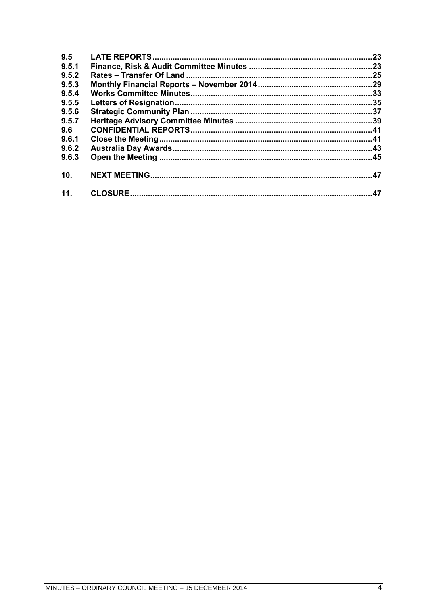| 9.5   | .23 |
|-------|-----|
| 9.5.1 |     |
| 9.5.2 |     |
| 9.5.3 |     |
| 9.5.4 |     |
| 9.5.5 |     |
| 9.5.6 |     |
| 9.5.7 |     |
| 9.6   |     |
| 9.6.1 |     |
| 9.6.2 |     |
| 9.6.3 |     |
| 10.   |     |
| 11.   |     |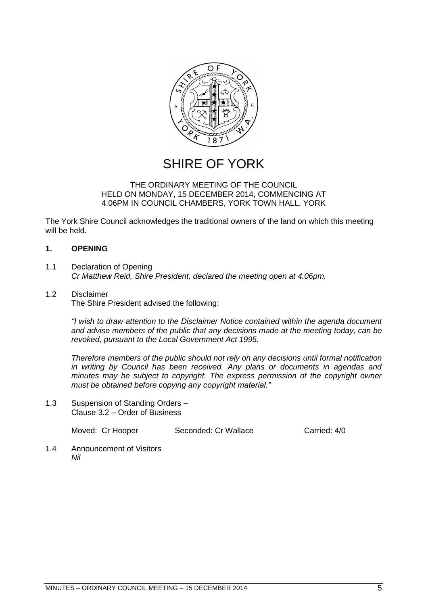

# SHIRE OF YORK

#### THE ORDINARY MEETING OF THE COUNCIL HELD ON MONDAY, 15 DECEMBER 2014, COMMENCING AT 4.06PM IN COUNCIL CHAMBERS, YORK TOWN HALL, YORK

The York Shire Council acknowledges the traditional owners of the land on which this meeting will be held.

# <span id="page-4-0"></span>**1. OPENING**

- <span id="page-4-1"></span>1.1 Declaration of Opening *Cr Matthew Reid, Shire President, declared the meeting open at 4.06pm.*
- <span id="page-4-2"></span>1.2 Disclaimer The Shire President advised the following:

*"I wish to draw attention to the Disclaimer Notice contained within the agenda document and advise members of the public that any decisions made at the meeting today, can be revoked, pursuant to the Local Government Act 1995.* 

*Therefore members of the public should not rely on any decisions until formal notification in writing by Council has been received. Any plans or documents in agendas and minutes may be subject to copyright. The express permission of the copyright owner must be obtained before copying any copyright material."*

<span id="page-4-3"></span>1.3 Suspension of Standing Orders – Clause 3.2 – Order of Business

Moved: Cr Hooper Seconded: Cr Wallace Carried: 4/0

<span id="page-4-4"></span>1.4 Announcement of Visitors *Nil*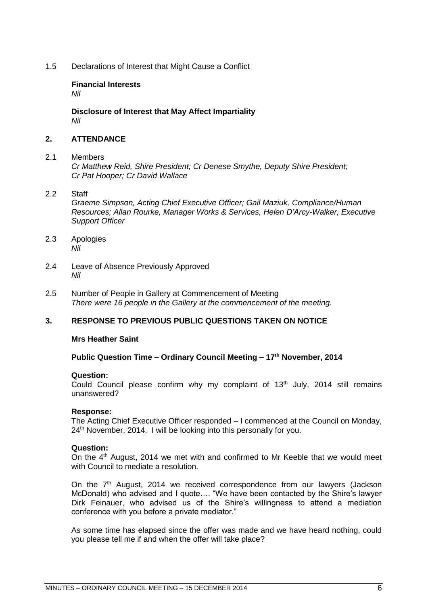<span id="page-5-1"></span><span id="page-5-0"></span>1.5 Declarations of Interest that Might Cause a Conflict

# **Financial Interests**

*Nil*

<span id="page-5-2"></span>**Disclosure of Interest that May Affect Impartiality** *Nil*

# <span id="page-5-3"></span>**2. ATTENDANCE**

#### <span id="page-5-4"></span>2.1 Members

*Cr Matthew Reid, Shire President; Cr Denese Smythe, Deputy Shire President; Cr Pat Hooper; Cr David Wallace*

#### <span id="page-5-5"></span>2.2 Staff

*Graeme Simpson, Acting Chief Executive Officer; Gail Maziuk, Compliance/Human Resources; Allan Rourke, Manager Works & Services, Helen D'Arcy-Walker, Executive Support Officer*

- <span id="page-5-6"></span>2.3 Apologies *Nil*
- <span id="page-5-7"></span>2.4 Leave of Absence Previously Approved *Nil*
- <span id="page-5-8"></span>2.5 Number of People in Gallery at Commencement of Meeting *There were 16 people in the Gallery at the commencement of the meeting.*

# <span id="page-5-9"></span>**3. RESPONSE TO PREVIOUS PUBLIC QUESTIONS TAKEN ON NOTICE**

#### **Mrs Heather Saint**

#### **Public Question Time – Ordinary Council Meeting – 17th November, 2014**

#### **Question:**

Could Council please confirm why my complaint of  $13<sup>th</sup>$  July, 2014 still remains unanswered?

#### **Response:**

The Acting Chief Executive Officer responded – I commenced at the Council on Monday, 24<sup>th</sup> November, 2014. I will be looking into this personally for you.

#### **Question:**

On the  $4<sup>th</sup>$  August, 2014 we met with and confirmed to Mr Keeble that we would meet with Council to mediate a resolution.

On the 7<sup>th</sup> August, 2014 we received correspondence from our lawyers (Jackson McDonald) who advised and I quote…. "We have been contacted by the Shire's lawyer Dirk Feinauer, who advised us of the Shire's willingness to attend a mediation conference with you before a private mediator."

As some time has elapsed since the offer was made and we have heard nothing, could you please tell me if and when the offer will take place?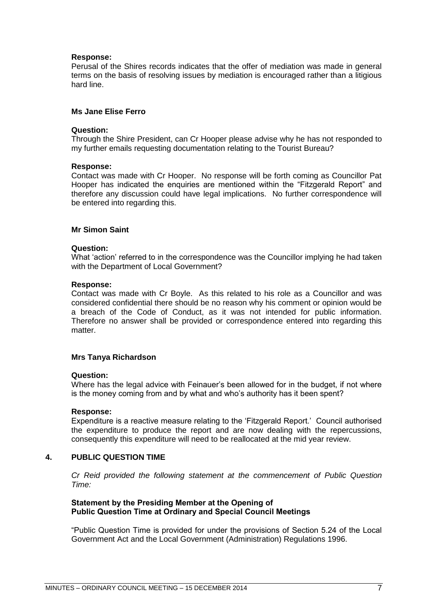#### **Response:**

Perusal of the Shires records indicates that the offer of mediation was made in general terms on the basis of resolving issues by mediation is encouraged rather than a litigious hard line.

#### **Ms Jane Elise Ferro**

#### **Question:**

Through the Shire President, can Cr Hooper please advise why he has not responded to my further emails requesting documentation relating to the Tourist Bureau?

#### **Response:**

Contact was made with Cr Hooper. No response will be forth coming as Councillor Pat Hooper has indicated the enquiries are mentioned within the "Fitzgerald Report" and therefore any discussion could have legal implications. No further correspondence will be entered into regarding this.

#### **Mr Simon Saint**

#### **Question:**

What 'action' referred to in the correspondence was the Councillor implying he had taken with the Department of Local Government?

#### **Response:**

Contact was made with Cr Boyle. As this related to his role as a Councillor and was considered confidential there should be no reason why his comment or opinion would be a breach of the Code of Conduct, as it was not intended for public information. Therefore no answer shall be provided or correspondence entered into regarding this matter.

#### **Mrs Tanya Richardson**

#### **Question:**

Where has the legal advice with Feinauer's been allowed for in the budget, if not where is the money coming from and by what and who's authority has it been spent?

#### **Response:**

Expenditure is a reactive measure relating to the 'Fitzgerald Report.' Council authorised the expenditure to produce the report and are now dealing with the repercussions, consequently this expenditure will need to be reallocated at the mid year review.

### <span id="page-6-0"></span>**4. PUBLIC QUESTION TIME**

*Cr Reid provided the following statement at the commencement of Public Question Time:*

#### **Statement by the Presiding Member at the Opening of Public Question Time at Ordinary and Special Council Meetings**

"Public Question Time is provided for under the provisions of Section 5.24 of the Local Government Act and the Local Government (Administration) Regulations 1996.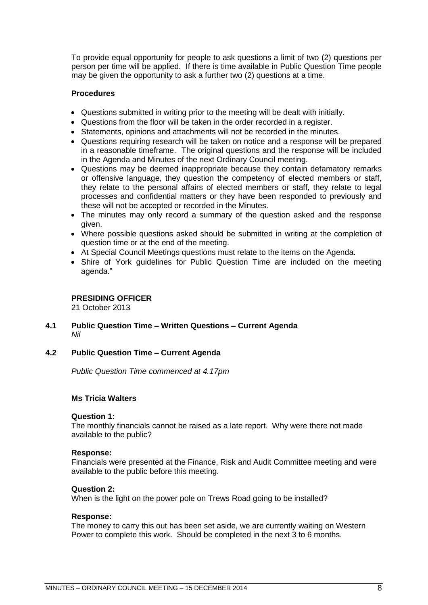To provide equal opportunity for people to ask questions a limit of two (2) questions per person per time will be applied. If there is time available in Public Question Time people may be given the opportunity to ask a further two (2) questions at a time.

#### **Procedures**

- Questions submitted in writing prior to the meeting will be dealt with initially.
- Questions from the floor will be taken in the order recorded in a register.
- Statements, opinions and attachments will not be recorded in the minutes.
- Questions requiring research will be taken on notice and a response will be prepared in a reasonable timeframe. The original questions and the response will be included in the Agenda and Minutes of the next Ordinary Council meeting.
- Questions may be deemed inappropriate because they contain defamatory remarks or offensive language, they question the competency of elected members or staff, they relate to the personal affairs of elected members or staff, they relate to legal processes and confidential matters or they have been responded to previously and these will not be accepted or recorded in the Minutes.
- The minutes may only record a summary of the question asked and the response given.
- Where possible questions asked should be submitted in writing at the completion of question time or at the end of the meeting.
- At Special Council Meetings questions must relate to the items on the Agenda.
- Shire of York guidelines for Public Question Time are included on the meeting agenda."

#### **PRESIDING OFFICER**

21 October 2013

### <span id="page-7-0"></span>**4.1 Public Question Time – Written Questions – Current Agenda** *Nil*

#### <span id="page-7-1"></span>**4.2 Public Question Time – Current Agenda**

*Public Question Time commenced at 4.17pm*

#### **Ms Tricia Walters**

#### **Question 1:**

The monthly financials cannot be raised as a late report. Why were there not made available to the public?

#### **Response:**

Financials were presented at the Finance, Risk and Audit Committee meeting and were available to the public before this meeting.

#### **Question 2:**

When is the light on the power pole on Trews Road going to be installed?

#### **Response:**

The money to carry this out has been set aside, we are currently waiting on Western Power to complete this work. Should be completed in the next 3 to 6 months.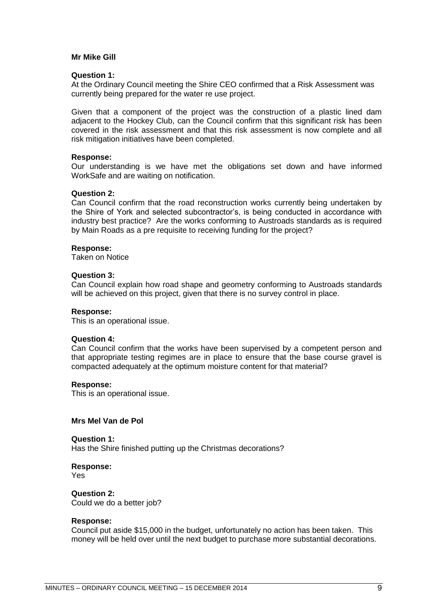#### **Mr Mike Gill**

#### **Question 1:**

At the Ordinary Council meeting the Shire CEO confirmed that a Risk Assessment was currently being prepared for the water re use project.

Given that a component of the project was the construction of a plastic lined dam adjacent to the Hockey Club, can the Council confirm that this significant risk has been covered in the risk assessment and that this risk assessment is now complete and all risk mitigation initiatives have been completed.

#### **Response:**

Our understanding is we have met the obligations set down and have informed WorkSafe and are waiting on notification.

#### **Question 2:**

Can Council confirm that the road reconstruction works currently being undertaken by the Shire of York and selected subcontractor's, is being conducted in accordance with industry best practice? Are the works conforming to Austroads standards as is required by Main Roads as a pre requisite to receiving funding for the project?

#### **Response:**

Taken on Notice

#### **Question 3:**

Can Council explain how road shape and geometry conforming to Austroads standards will be achieved on this project, given that there is no survey control in place.

#### **Response:**

This is an operational issue.

#### **Question 4:**

Can Council confirm that the works have been supervised by a competent person and that appropriate testing regimes are in place to ensure that the base course gravel is compacted adequately at the optimum moisture content for that material?

#### **Response:**

This is an operational issue.

#### **Mrs Mel Van de Pol**

**Question 1:** Has the Shire finished putting up the Christmas decorations?

**Response:** Yes

**Question 2:** Could we do a better job?

#### **Response:**

Council put aside \$15,000 in the budget, unfortunately no action has been taken. This money will be held over until the next budget to purchase more substantial decorations.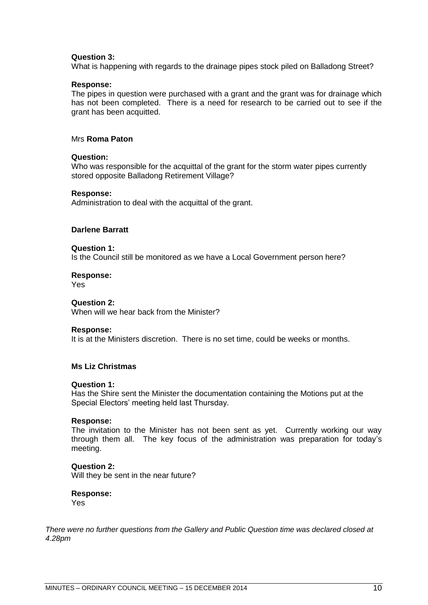#### **Question 3:**

What is happening with regards to the drainage pipes stock piled on Balladong Street?

#### **Response:**

The pipes in question were purchased with a grant and the grant was for drainage which has not been completed. There is a need for research to be carried out to see if the grant has been acquitted.

#### Mrs **Roma Paton**

#### **Question:**

Who was responsible for the acquittal of the grant for the storm water pipes currently stored opposite Balladong Retirement Village?

#### **Response:**

Administration to deal with the acquittal of the grant.

#### **Darlene Barratt**

#### **Question 1:**

Is the Council still be monitored as we have a Local Government person here?

#### **Response:**

Yes

## **Question 2:**

When will we hear back from the Minister?

#### **Response:**

It is at the Ministers discretion. There is no set time, could be weeks or months.

### **Ms Liz Christmas**

#### **Question 1:**

Has the Shire sent the Minister the documentation containing the Motions put at the Special Electors' meeting held last Thursday.

#### **Response:**

The invitation to the Minister has not been sent as yet. Currently working our way through them all. The key focus of the administration was preparation for today's meeting.

#### **Question 2:**

Will they be sent in the near future?

#### **Response:**

Yes

*There were no further questions from the Gallery and Public Question time was declared closed at 4.28pm*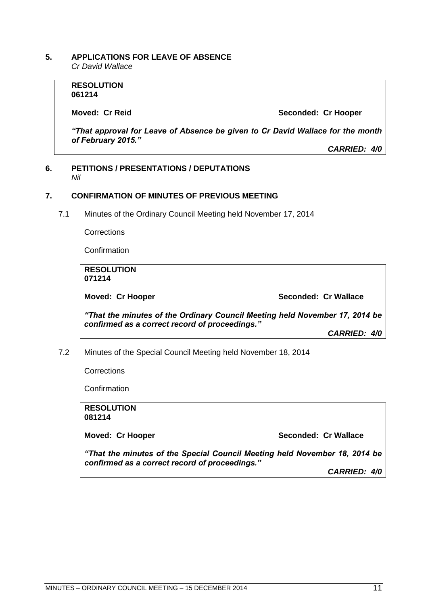#### <span id="page-10-0"></span>**5. APPLICATIONS FOR LEAVE OF ABSENCE**  *Cr David Wallace*

**RESOLUTION 061214**

**Moved: Cr Reid Seconded: Cr Hooper** 

*"That approval for Leave of Absence be given to Cr David Wallace for the month of February 2015."*

*CARRIED: 4/0*

#### <span id="page-10-1"></span>**6. PETITIONS / PRESENTATIONS / DEPUTATIONS** *Nil*

# <span id="page-10-2"></span>**7. CONFIRMATION OF MINUTES OF PREVIOUS MEETING**

<span id="page-10-3"></span>7.1 Minutes of the Ordinary Council Meeting held November 17, 2014

**Corrections** 

Confirmation

**RESOLUTION 071214**

**Moved: Cr Hooper Seconded: Cr Wallace**

*"That the minutes of the Ordinary Council Meeting held November 17, 2014 be confirmed as a correct record of proceedings."*

*CARRIED: 4/0*

<span id="page-10-4"></span>7.2 Minutes of the Special Council Meeting held November 18, 2014

**Corrections** 

**Confirmation** 

**RESOLUTION 081214 Moved: Cr Hooper Seconded: Cr Wallace** *"That the minutes of the Special Council Meeting held November 18, 2014 be confirmed as a correct record of proceedings." CARRIED: 4/0*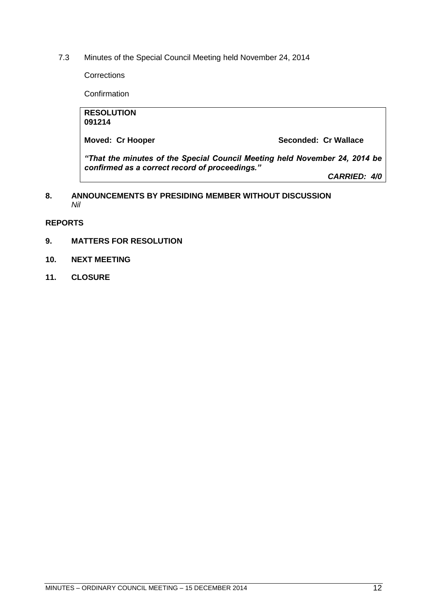<span id="page-11-0"></span>7.3 Minutes of the Special Council Meeting held November 24, 2014

**Corrections** 

**Confirmation** 

| <b>RESOLUTION</b><br>091214                                                                                                  |                      |  |
|------------------------------------------------------------------------------------------------------------------------------|----------------------|--|
| <b>Moved: Cr Hooper</b>                                                                                                      | Seconded: Cr Wallace |  |
| "That the minutes of the Special Council Meeting held November 24, 2014 be<br>confirmed as a correct record of proceedings." |                      |  |
|                                                                                                                              | <b>CARRIED: 4/0</b>  |  |

# <span id="page-11-1"></span>**8. ANNOUNCEMENTS BY PRESIDING MEMBER WITHOUT DISCUSSION** *Nil*

<span id="page-11-2"></span>**REPORTS** 

- <span id="page-11-3"></span>**9. MATTERS FOR RESOLUTION**
- **10. NEXT MEETING**
- **11. CLOSURE**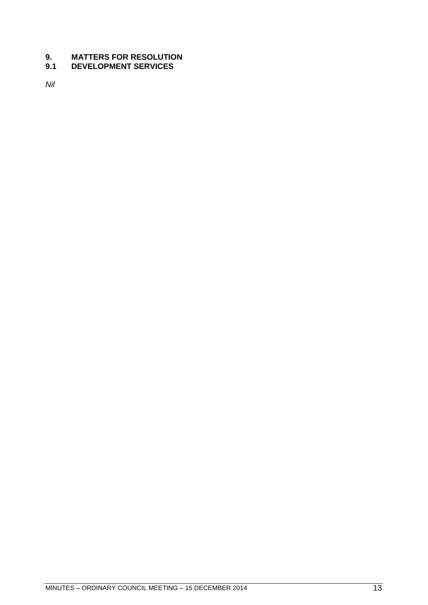# <span id="page-12-1"></span><span id="page-12-0"></span>**9.1 DEVELOPMENT SERVICES**

*Nil*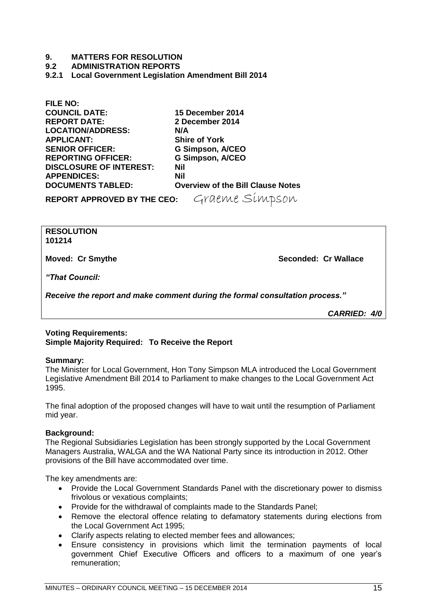<span id="page-14-0"></span>**9.2 ADMINISTRATION REPORTS**

<span id="page-14-1"></span>**9.2.1 Local Government Legislation Amendment Bill 2014**

**FILE NO: COUNCIL DATE: 15 December 2014 REPORT DATE: LOCATION/ADDRESS: N/A APPLICANT: Shire of York SENIOR OFFICER: G Simpson, A/CEO REPORTING OFFICER: G Simpson, A/CEO DISCLOSURE OF INTEREST: Nil APPENDICES: Nil** 

**Overview of the Bill Clause Notes** 

**REPORT APPROVED BY THE CEO:** Graeme Simpson

**RESOLUTION 101214**

**Moved: Cr Smythe Seconded: Cr Wallace**

*"That Council:*

*Receive the report and make comment during the formal consultation process."*

*CARRIED: 4/0*

# **Voting Requirements: Simple Majority Required: To Receive the Report**

#### **Summary:**

The Minister for Local Government, Hon Tony Simpson MLA introduced the Local Government Legislative Amendment Bill 2014 to Parliament to make changes to the Local Government Act 1995.

The final adoption of the proposed changes will have to wait until the resumption of Parliament mid year.

# **Background:**

The Regional Subsidiaries Legislation has been strongly supported by the Local Government Managers Australia, WALGA and the WA National Party since its introduction in 2012. Other provisions of the Bill have accommodated over time.

The key amendments are:

- Provide the Local Government Standards Panel with the discretionary power to dismiss frivolous or vexatious complaints;
- Provide for the withdrawal of complaints made to the Standards Panel;
- Remove the electoral offence relating to defamatory statements during elections from the Local Government Act 1995;
- Clarify aspects relating to elected member fees and allowances;
- Ensure consistency in provisions which limit the termination payments of local government Chief Executive Officers and officers to a maximum of one year's remuneration;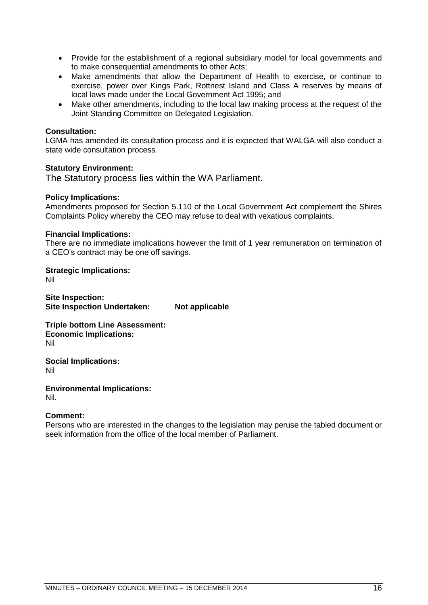- Provide for the establishment of a regional subsidiary model for local governments and to make consequential amendments to other Acts;
- Make amendments that allow the Department of Health to exercise, or continue to exercise, power over Kings Park, Rottnest Island and Class A reserves by means of local laws made under the Local Government Act 1995; and
- Make other amendments, including to the local law making process at the request of the Joint Standing Committee on Delegated Legislation.

#### **Consultation:**

LGMA has amended its consultation process and it is expected that WALGA will also conduct a state wide consultation process.

#### **Statutory Environment:**

The Statutory process lies within the WA Parliament.

#### **Policy Implications:**

Amendments proposed for Section 5.110 of the Local Government Act complement the Shires Complaints Policy whereby the CEO may refuse to deal with vexatious complaints.

#### **Financial Implications:**

There are no immediate implications however the limit of 1 year remuneration on termination of a CEO's contract may be one off savings.

**Strategic Implications:** Nil

**Site Inspection: Site Inspection Undertaken: Not applicable**

**Triple bottom Line Assessment: Economic Implications:** Nil

**Social Implications:** Nil

**Environmental Implications:** Nil.

#### **Comment:**

Persons who are interested in the changes to the legislation may peruse the tabled document or seek information from the office of the local member of Parliament.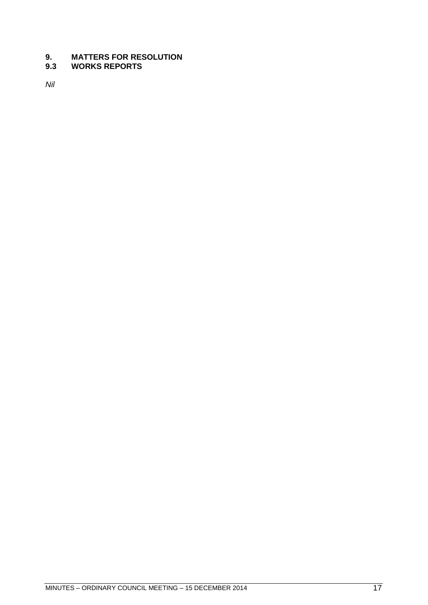# <span id="page-16-0"></span>**9.3 WORKS REPORTS**

*Nil*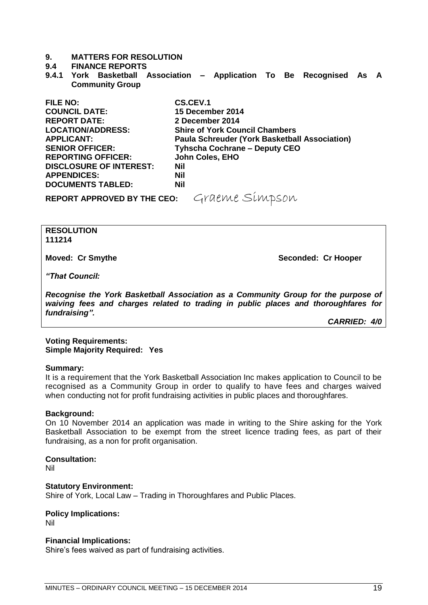#### <span id="page-18-0"></span>**9.4 FINANCE REPORTS**

<span id="page-18-1"></span>**9.4.1 York Basketball Association – Application To Be Recognised As A Community Group**

| <b>FILE NO:</b>                | CS.CEV.1                                             |
|--------------------------------|------------------------------------------------------|
| <b>COUNCIL DATE:</b>           | 15 December 2014                                     |
| <b>REPORT DATE:</b>            | 2 December 2014                                      |
| <b>LOCATION/ADDRESS:</b>       | <b>Shire of York Council Chambers</b>                |
| <b>APPLICANT:</b>              | <b>Paula Schreuder (York Basketball Association)</b> |
| <b>SENIOR OFFICER:</b>         | <b>Tyhscha Cochrane - Deputy CEO</b>                 |
| <b>REPORTING OFFICER:</b>      | John Coles, EHO                                      |
| <b>DISCLOSURE OF INTEREST:</b> | <b>Nil</b>                                           |
| <b>APPENDICES:</b>             | <b>Nil</b>                                           |
| <b>DOCUMENTS TABLED:</b>       | <b>Nil</b>                                           |
|                                |                                                      |

REPORT APPROVED BY THE CEO: Graeme Simpson

**RESOLUTION 111214**

**Moved: Cr Smythe Seconded: Cr Hooper**

*"That Council:*

*Recognise the York Basketball Association as a Community Group for the purpose of waiving fees and charges related to trading in public places and thoroughfares for fundraising".*

*CARRIED: 4/0*

#### **Voting Requirements: Simple Majority Required: Yes**

#### **Summary:**

It is a requirement that the York Basketball Association Inc makes application to Council to be recognised as a Community Group in order to qualify to have fees and charges waived when conducting not for profit fundraising activities in public places and thoroughfares.

#### **Background:**

On 10 November 2014 an application was made in writing to the Shire asking for the York Basketball Association to be exempt from the street licence trading fees, as part of their fundraising, as a non for profit organisation.

#### **Consultation:**

Nil

#### **Statutory Environment:**

Shire of York, Local Law – Trading in Thoroughfares and Public Places.

# **Policy Implications:**

Nil

#### **Financial Implications:**

Shire's fees waived as part of fundraising activities.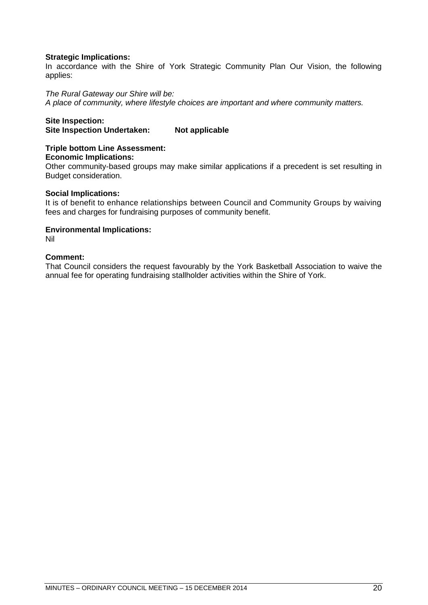# **Strategic Implications:**

In accordance with the Shire of York Strategic Community Plan Our Vision, the following applies:

#### *The Rural Gateway our Shire will be:*

*A place of community, where lifestyle choices are important and where community matters.*

### **Site Inspection:**

**Site Inspection Undertaken: Not applicable** 

# **Triple bottom Line Assessment:**

#### **Economic Implications:**

Other community-based groups may make similar applications if a precedent is set resulting in Budget consideration.

#### **Social Implications:**

It is of benefit to enhance relationships between Council and Community Groups by waiving fees and charges for fundraising purposes of community benefit.

#### **Environmental Implications:**

Nil

#### **Comment:**

That Council considers the request favourably by the York Basketball Association to waive the annual fee for operating fundraising stallholder activities within the Shire of York.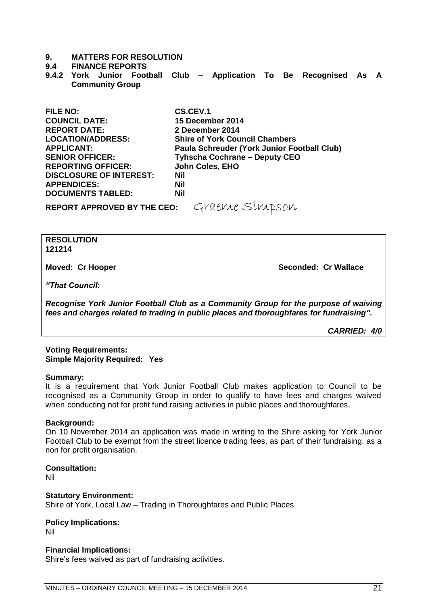#### **9.4 FINANCE REPORTS**

<span id="page-20-0"></span>**9.4.2 York Junior Football Club – Application To Be Recognised As A Community Group**

| <b>FILE NO:</b>                    | <b>CS.CEV.1</b>                             |
|------------------------------------|---------------------------------------------|
| <b>COUNCIL DATE:</b>               | 15 December 2014                            |
| <b>REPORT DATE:</b>                | 2 December 2014                             |
| <b>LOCATION/ADDRESS:</b>           | <b>Shire of York Council Chambers</b>       |
| <b>APPLICANT:</b>                  | Paula Schreuder (York Junior Football Club) |
| <b>SENIOR OFFICER:</b>             | <b>Tyhscha Cochrane - Deputy CEO</b>        |
| <b>REPORTING OFFICER:</b>          | John Coles, EHO                             |
| <b>DISCLOSURE OF INTEREST:</b>     | <b>Nil</b>                                  |
| <b>APPENDICES:</b>                 | <b>Nil</b>                                  |
| <b>DOCUMENTS TABLED:</b>           | <b>Nil</b>                                  |
| <b>REPORT APPROVED BY THE CEO:</b> | Graeme Simpson                              |

#### **RESOLUTION 121214**

**Moved: Cr Hooper Seconded: Cr Wallace**

*"That Council:*

*Recognise York Junior Football Club as a Community Group for the purpose of waiving fees and charges related to trading in public places and thoroughfares for fundraising".*

*CARRIED: 4/0*

#### **Voting Requirements: Simple Majority Required: Yes**

#### **Summary:**

It is a requirement that York Junior Football Club makes application to Council to be recognised as a Community Group in order to qualify to have fees and charges waived when conducting not for profit fund raising activities in public places and thoroughfares.

#### **Background:**

On 10 November 2014 an application was made in writing to the Shire asking for York Junior Football Club to be exempt from the street licence trading fees, as part of their fundraising, as a non for profit organisation.

#### **Consultation:**

Nil

**Statutory Environment:** Shire of York, Local Law – Trading in Thoroughfares and Public Places

**Policy Implications:** Nil

#### **Financial Implications:**

Shire's fees waived as part of fundraising activities.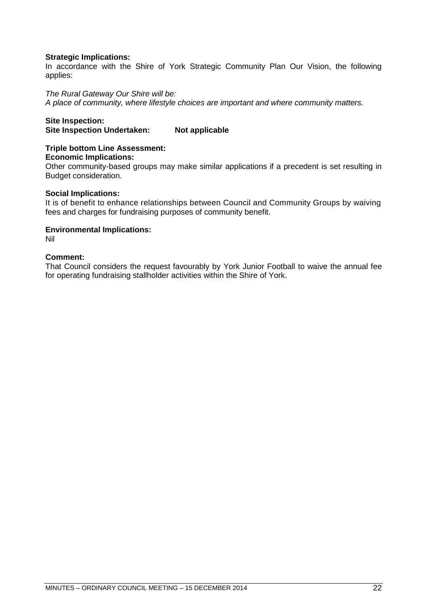# **Strategic Implications:**

In accordance with the Shire of York Strategic Community Plan Our Vision, the following applies:

#### *The Rural Gateway Our Shire will be:*

*A place of community, where lifestyle choices are important and where community matters.*

# **Site Inspection:**

**Site Inspection Undertaken: Not applicable** 

# **Triple bottom Line Assessment:**

#### **Economic Implications:**

Other community-based groups may make similar applications if a precedent is set resulting in Budget consideration.

#### **Social Implications:**

It is of benefit to enhance relationships between Council and Community Groups by waiving fees and charges for fundraising purposes of community benefit.

#### **Environmental Implications:**

Nil

# **Comment:**

That Council considers the request favourably by York Junior Football to waive the annual fee for operating fundraising stallholder activities within the Shire of York.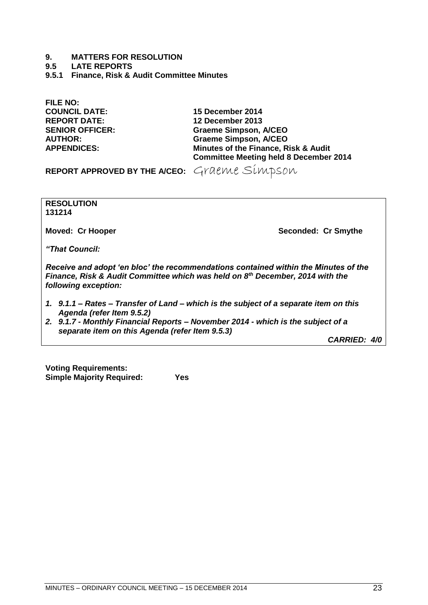- **9. MATTERS FOR RESOLUTION**
- <span id="page-22-0"></span>**9.5 LATE REPORTS**
- <span id="page-22-1"></span>**9.5.1 Finance, Risk & Audit Committee Minutes**

**FILE NO: COUNCIL DATE: 15 December 2014 REPORT DATE: 12 December 2013**

**SENIOR OFFICER: Graeme Simpson, A/CEO AUTHOR: Graeme Simpson, A/CEO Minutes of the Finance, Risk & Audit Committee Meeting held 8 December 2014**

REPORT APPROVED BY THE A/CEO: Graeme Simpson

**RESOLUTION 131214**

**Moved: Cr Hooper Seconded: Cr Smythe**

*"That Council:*

*Receive and adopt 'en bloc' the recommendations contained within the Minutes of the Finance, Risk & Audit Committee which was held on 8th December, 2014 with the following exception:*

- *1. 9.1.1 – Rates – Transfer of Land – which is the subject of a separate item on this Agenda (refer Item 9.5.2)*
- *2. 9.1.7 - Monthly Financial Reports – November 2014 - which is the subject of a separate item on this Agenda (refer Item 9.5.3)*

*CARRIED: 4/0*

**Voting Requirements: Simple Majority Required: Yes**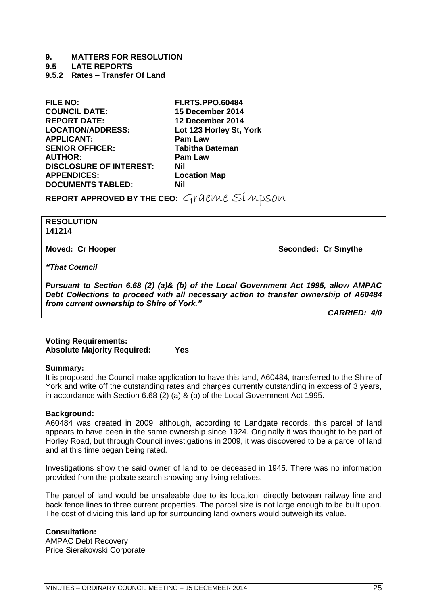**9.5 LATE REPORTS**

<span id="page-24-0"></span>**9.5.2 Rates – Transfer Of Land**

**FILE NO: FI.RTS.PPO.60484 COUNCIL DATE: 15 December 2014 REPORT DATE: 12 December 2014 APPLICANT: Pam Law SENIOR OFFICER: AUTHOR: Pam Law DISCLOSURE OF INTEREST: Nil APPENDICES: Location Map DOCUMENTS TABLED: Nil**

Lot 123 Horley St, York

**REPORT APPROVED BY THE CEO:** Graeme Simpson

#### **RESOLUTION 141214**

**Moved: Cr Hooper Seconded: Cr Smythe**

*"That Council*

*Pursuant to Section 6.68 (2) (a)& (b) of the Local Government Act 1995, allow AMPAC Debt Collections to proceed with all necessary action to transfer ownership of A60484 from current ownership to Shire of York."*

*CARRIED: 4/0*

#### **Voting Requirements: Absolute Majority Required: Yes**

#### **Summary:**

It is proposed the Council make application to have this land, A60484, transferred to the Shire of York and write off the outstanding rates and charges currently outstanding in excess of 3 years, in accordance with Section 6.68 (2) (a) & (b) of the Local Government Act 1995.

#### **Background:**

A60484 was created in 2009, although, according to Landgate records, this parcel of land appears to have been in the same ownership since 1924. Originally it was thought to be part of Horley Road, but through Council investigations in 2009, it was discovered to be a parcel of land and at this time began being rated.

Investigations show the said owner of land to be deceased in 1945. There was no information provided from the probate search showing any living relatives.

The parcel of land would be unsaleable due to its location; directly between railway line and back fence lines to three current properties. The parcel size is not large enough to be built upon. The cost of dividing this land up for surrounding land owners would outweigh its value.

# **Consultation:**

AMPAC Debt Recovery Price Sierakowski Corporate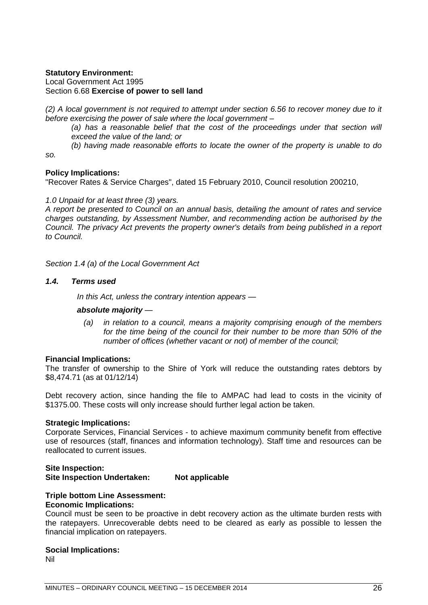# **Statutory Environment:**

Local Government Act 1995 Section 6.68 **Exercise of power to sell land**

*(2) A local government is not required to attempt under section 6.56 to recover money due to it before exercising the power of sale where the local government –*

(a) has a reasonable belief that the cost of the proceedings under that section will *exceed the value of the land; or*

*(b) having made reasonable efforts to locate the owner of the property is unable to do* 

*so.*

# **Policy Implications:**

"Recover Rates & Service Charges", dated 15 February 2010, Council resolution 200210,

# *1.0 Unpaid for at least three (3) years.*

*A report be presented to Council on an annual basis, detailing the amount of rates and service charges outstanding, by Assessment Number, and recommending action be authorised by the Council. The privacy Act prevents the property owner's details from being published in a report to Council.*

*Section 1.4 (a) of the Local Government Act*

### *1.4. Terms used*

*In this Act, unless the contrary intention appears —*

# *absolute majority —*

*(a) in relation to a council, means a majority comprising enough of the members for the time being of the council for their number to be more than 50% of the number of offices (whether vacant or not) of member of the council;*

#### **Financial Implications:**

The transfer of ownership to the Shire of York will reduce the outstanding rates debtors by \$8,474.71 (as at 01/12/14)

Debt recovery action, since handing the file to AMPAC had lead to costs in the vicinity of \$1375.00. These costs will only increase should further legal action be taken.

# **Strategic Implications:**

Corporate Services, Financial Services - to achieve maximum community benefit from effective use of resources (staff, finances and information technology). Staff time and resources can be reallocated to current issues.

# **Site Inspection: Site Inspection Undertaken: Not applicable**

# **Triple bottom Line Assessment:**

# **Economic Implications:**

Council must be seen to be proactive in debt recovery action as the ultimate burden rests with the ratepayers. Unrecoverable debts need to be cleared as early as possible to lessen the financial implication on ratepayers.

# **Social Implications:**

Nil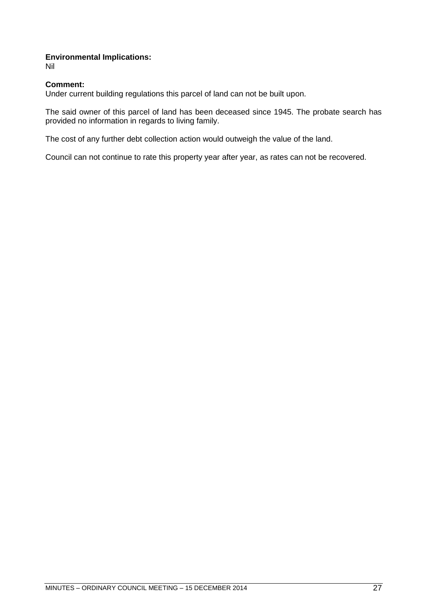# **Environmental Implications:**

Nil

# **Comment:**

Under current building regulations this parcel of land can not be built upon.

The said owner of this parcel of land has been deceased since 1945. The probate search has provided no information in regards to living family.

The cost of any further debt collection action would outweigh the value of the land.

Council can not continue to rate this property year after year, as rates can not be recovered.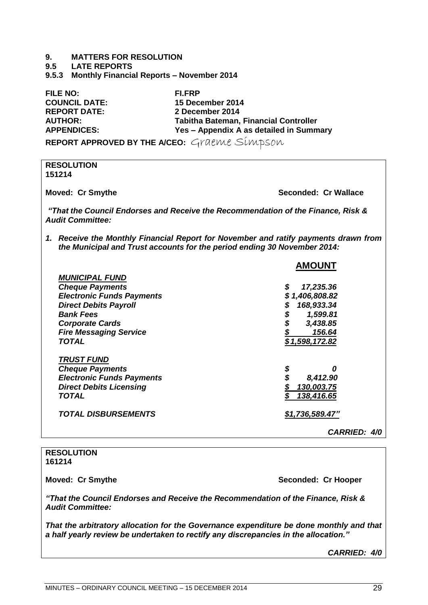#### **9.5 LATE REPORTS**

<span id="page-28-0"></span>**9.5.3 Monthly Financial Reports – November 2014**

**FILE NO: FI.FRP COUNCIL DATE: 15 December 2014 REPORT DATE: 2 December 2014 AUTHOR: Tabitha Bateman, Financial Controller APPENDICES: Yes – Appendix A as detailed in Summary**

**REPORT APPROVED BY THE A/CEO:** Graeme Simpson

**RESOLUTION 151214 Moved: Cr Smythe Seconded: Cr Wallace** *"That the Council Endorses and Receive the Recommendation of the Finance, Risk & Audit Committee: 1. Receive the Monthly Financial Report for November and ratify payments drawn from the Municipal and Trust accounts for the period ending 30 November 2014:* **AMOUNT** *MUNICIPAL FUND Cheque Payments \$ 17,235.36 Electronic Funds Payments \$ 1,406,808.82 Direct Debits Payroll \$ 168,933.34 Bank Fees \$ 1,599.81 Corporate Cards \$ 3,438.85 Fire Messaging Service \$ 156.64 TOTAL \$ 1,598,172.82 TRUST FUND Cheque Payments \$ 0 Electronic Funds Payments \$ 8,412.90 Direct Debits Licensing \$ 130,003.75 TOTAL \$ 138,416.65 TOTAL DISBURSEMENTS \$1,736,589.47" CARRIED: 4/0*

#### **RESOLUTION 161214**

**Moved: Cr Smythe Seconded: Cr Hooper**

*"That the Council Endorses and Receive the Recommendation of the Finance, Risk & Audit Committee:*

*That the arbitratory allocation for the Governance expenditure be done monthly and that a half yearly review be undertaken to rectify any discrepancies in the allocation."*

*CARRIED: 4/0*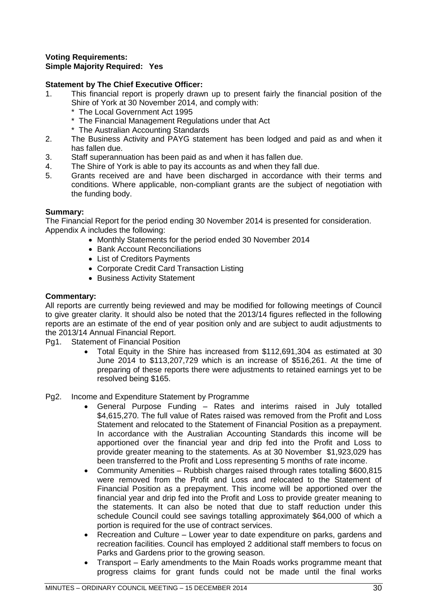# **Voting Requirements: Simple Majority Required: Yes**

# **Statement by The Chief Executive Officer:**

- 1. This financial report is properly drawn up to present fairly the financial position of the Shire of York at 30 November 2014, and comply with:
	- The Local Government Act 1995
	- \* The Financial Management Regulations under that Act
	- \* The Australian Accounting Standards
- 2. The Business Activity and PAYG statement has been lodged and paid as and when it has fallen due.
- 3. Staff superannuation has been paid as and when it has fallen due.
- 4. The Shire of York is able to pay its accounts as and when they fall due.
- 5. Grants received are and have been discharged in accordance with their terms and conditions. Where applicable, non-compliant grants are the subject of negotiation with the funding body.

# **Summary:**

The Financial Report for the period ending 30 November 2014 is presented for consideration. Appendix A includes the following:

- Monthly Statements for the period ended 30 November 2014
- Bank Account Reconciliations
- List of Creditors Payments
- Corporate Credit Card Transaction Listing
- Business Activity Statement

# **Commentary:**

All reports are currently being reviewed and may be modified for following meetings of Council to give greater clarity. It should also be noted that the 2013/14 figures reflected in the following reports are an estimate of the end of year position only and are subject to audit adjustments to the 2013/14 Annual Financial Report.

- Pg1. Statement of Financial Position
	- Total Equity in the Shire has increased from \$112,691,304 as estimated at 30 June 2014 to \$113,207,729 which is an increase of \$516,261. At the time of preparing of these reports there were adjustments to retained earnings yet to be resolved being \$165.
- Pg2. Income and Expenditure Statement by Programme
	- General Purpose Funding Rates and interims raised in July totalled \$4,615,270. The full value of Rates raised was removed from the Profit and Loss Statement and relocated to the Statement of Financial Position as a prepayment. In accordance with the Australian Accounting Standards this income will be apportioned over the financial year and drip fed into the Profit and Loss to provide greater meaning to the statements. As at 30 November \$1,923,029 has been transferred to the Profit and Loss representing 5 months of rate income.
	- Community Amenities Rubbish charges raised through rates totalling \$600,815 were removed from the Profit and Loss and relocated to the Statement of Financial Position as a prepayment. This income will be apportioned over the financial year and drip fed into the Profit and Loss to provide greater meaning to the statements. It can also be noted that due to staff reduction under this schedule Council could see savings totalling approximately \$64,000 of which a portion is required for the use of contract services.
	- Recreation and Culture Lower year to date expenditure on parks, gardens and recreation facilities. Council has employed 2 additional staff members to focus on Parks and Gardens prior to the growing season.
	- Transport Early amendments to the Main Roads works programme meant that progress claims for grant funds could not be made until the final works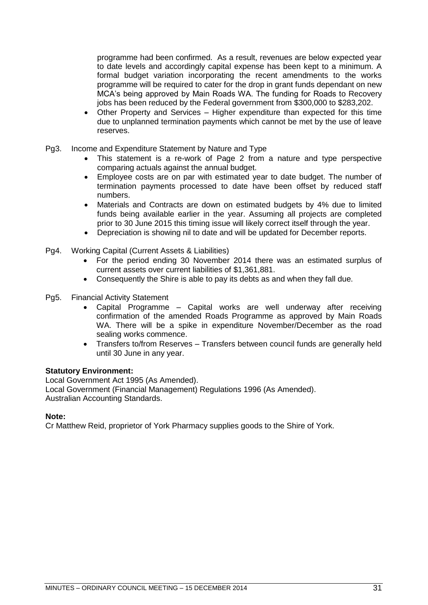programme had been confirmed. As a result, revenues are below expected year to date levels and accordingly capital expense has been kept to a minimum. A formal budget variation incorporating the recent amendments to the works programme will be required to cater for the drop in grant funds dependant on new MCA's being approved by Main Roads WA. The funding for Roads to Recovery jobs has been reduced by the Federal government from \$300,000 to \$283,202.

- Other Property and Services Higher expenditure than expected for this time due to unplanned termination payments which cannot be met by the use of leave reserves.
- Pg3. Income and Expenditure Statement by Nature and Type
	- This statement is a re-work of Page 2 from a nature and type perspective comparing actuals against the annual budget.
	- Employee costs are on par with estimated year to date budget. The number of termination payments processed to date have been offset by reduced staff numbers.
	- Materials and Contracts are down on estimated budgets by 4% due to limited funds being available earlier in the year. Assuming all projects are completed prior to 30 June 2015 this timing issue will likely correct itself through the year.
	- Depreciation is showing nil to date and will be updated for December reports.
- Pg4. Working Capital (Current Assets & Liabilities)
	- For the period ending 30 November 2014 there was an estimated surplus of current assets over current liabilities of \$1,361,881.
	- Consequently the Shire is able to pay its debts as and when they fall due.
- Pg5. Financial Activity Statement
	- Capital Programme Capital works are well underway after receiving confirmation of the amended Roads Programme as approved by Main Roads WA. There will be a spike in expenditure November/December as the road sealing works commence.
	- Transfers to/from Reserves Transfers between council funds are generally held until 30 June in any year.

#### **Statutory Environment:**

Local Government Act 1995 (As Amended). Local Government (Financial Management) Regulations 1996 (As Amended). Australian Accounting Standards.

#### **Note:**

Cr Matthew Reid, proprietor of York Pharmacy supplies goods to the Shire of York.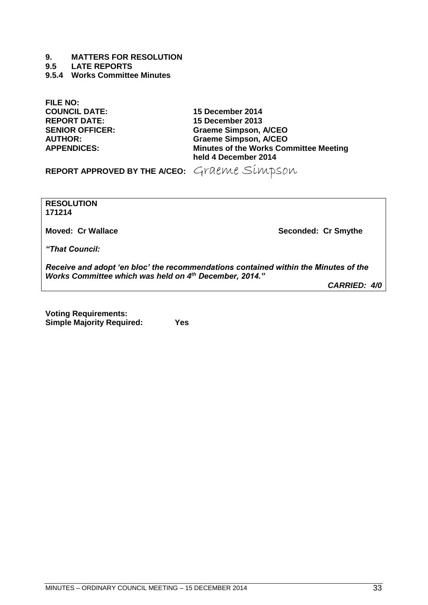**9.5 LATE REPORTS**

<span id="page-32-0"></span>**9.5.4 Works Committee Minutes**

**FILE NO: COUNCIL DATE: 15 December 2014 REPORT DATE: 15 December 2013**

**SENIOR OFFICER: Graeme Simpson, A/CEO AUTHOR: Graeme Simpson, A/CEO Minutes of the Works Committee Meeting held 4 December 2014**

REPORT APPROVED BY THE A/CEO: Graeme Simpson

**RESOLUTION 171214**

**Moved: Cr Wallace Seconded: Cr Smythe**

*"That Council:*

*Receive and adopt 'en bloc' the recommendations contained within the Minutes of the Works Committee which was held on 4th December, 2014."*

*CARRIED: 4/0*

**Voting Requirements: Simple Majority Required: Yes**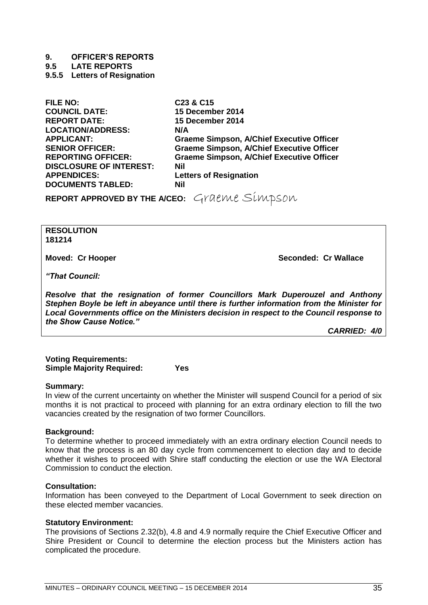**9. OFFICER'S REPORTS**

**9.5 LATE REPORTS**

<span id="page-34-0"></span>**9.5.5 Letters of Resignation**

**FILE NO: C23 & C15 COUNCIL DATE: 15 December 2014 REPORT DATE: 15 December 2014 LOCATION/ADDRESS: N/A DISCLOSURE OF INTEREST: Nil APPENDICES: Letters of Resignation DOCUMENTS TABLED: Nil**

**APPLICANT: Graeme Simpson, A/Chief Executive Officer SENIOR OFFICER: Graeme Simpson, A/Chief Executive Officer REPORTING OFFICER: Graeme Simpson, A/Chief Executive Officer**

**REPORT APPROVED BY THE A/CEO:** Graeme Simpson

**RESOLUTION 181214**

**Moved: Cr Hooper Seconded: Cr Wallace**

*"That Council:*

*Resolve that the resignation of former Councillors Mark Duperouzel and Anthony Stephen Boyle be left in abeyance until there is further information from the Minister for Local Governments office on the Ministers decision in respect to the Council response to the Show Cause Notice."*

*CARRIED: 4/0*

**Voting Requirements: Simple Majority Required: Yes**

# **Summary:**

In view of the current uncertainty on whether the Minister will suspend Council for a period of six months it is not practical to proceed with planning for an extra ordinary election to fill the two vacancies created by the resignation of two former Councillors.

#### **Background:**

To determine whether to proceed immediately with an extra ordinary election Council needs to know that the process is an 80 day cycle from commencement to election day and to decide whether it wishes to proceed with Shire staff conducting the election or use the WA Electoral Commission to conduct the election.

# **Consultation:**

Information has been conveyed to the Department of Local Government to seek direction on these elected member vacancies.

# **Statutory Environment:**

The provisions of Sections 2.32(b), 4.8 and 4.9 normally require the Chief Executive Officer and Shire President or Council to determine the election process but the Ministers action has complicated the procedure.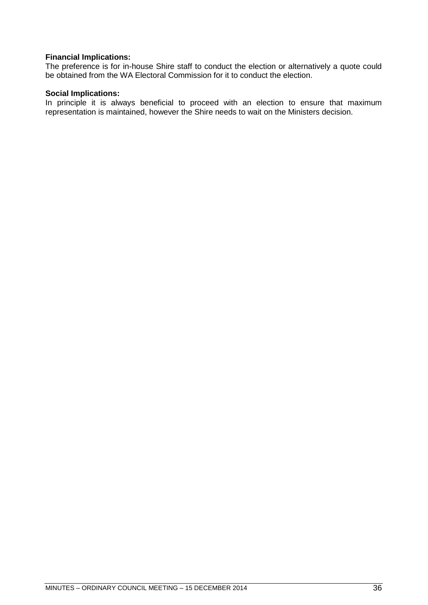# **Financial Implications:**

The preference is for in-house Shire staff to conduct the election or alternatively a quote could be obtained from the WA Electoral Commission for it to conduct the election.

### **Social Implications:**

In principle it is always beneficial to proceed with an election to ensure that maximum representation is maintained, however the Shire needs to wait on the Ministers decision.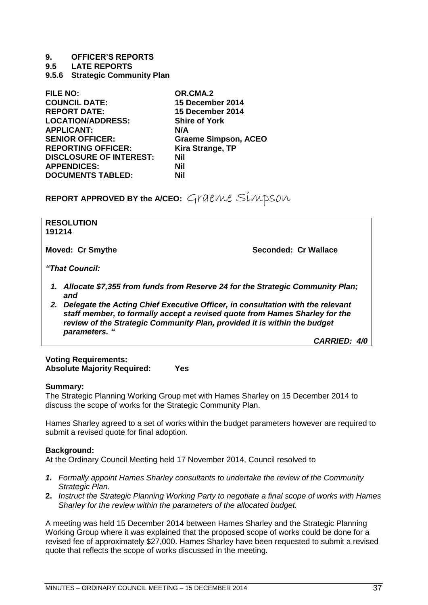### **9. OFFICER'S REPORTS**

**9.5 LATE REPORTS**

<span id="page-36-0"></span>**9.5.6 Strategic Community Plan**

| OR.CMA.2                    |
|-----------------------------|
| 15 December 2014            |
| 15 December 2014            |
| <b>Shire of York</b>        |
| N/A                         |
| <b>Graeme Simpson, ACEO</b> |
| Kira Strange, TP            |
| Nil                         |
| <b>Nil</b>                  |
| Nil                         |
|                             |

**REPORT APPROVED BY the A/CEO:** Graeme Simpson

| 191214                  | <b>RESOLUTION</b>                                                                                                                                                                                                                                          |                                                                               |  |
|-------------------------|------------------------------------------------------------------------------------------------------------------------------------------------------------------------------------------------------------------------------------------------------------|-------------------------------------------------------------------------------|--|
| <b>Moved: Cr Smythe</b> |                                                                                                                                                                                                                                                            | Seconded: Cr Wallace                                                          |  |
|                         | "That Council:                                                                                                                                                                                                                                             |                                                                               |  |
|                         | and                                                                                                                                                                                                                                                        | Allocate \$7,355 from funds from Reserve 24 for the Strategic Community Plan; |  |
| 2.                      | Delegate the Acting Chief Executive Officer, in consultation with the relevant<br>staff member, to formally accept a revised quote from Hames Sharley for the<br>review of the Strategic Community Plan, provided it is within the budget<br>parameters. " |                                                                               |  |
|                         |                                                                                                                                                                                                                                                            | <b>CARRIED: 4/0</b>                                                           |  |

# **Voting Requirements: Absolute Majority Required: Yes**

#### **Summary:**

The Strategic Planning Working Group met with Hames Sharley on 15 December 2014 to discuss the scope of works for the Strategic Community Plan.

Hames Sharley agreed to a set of works within the budget parameters however are required to submit a revised quote for final adoption.

# **Background:**

At the Ordinary Council Meeting held 17 November 2014, Council resolved to

- *1. Formally appoint Hames Sharley consultants to undertake the review of the Community Strategic Plan.*
- **2.** *Instruct the Strategic Planning Working Party to negotiate a final scope of works with Hames Sharley for the review within the parameters of the allocated budget.*

A meeting was held 15 December 2014 between Hames Sharley and the Strategic Planning Working Group where it was explained that the proposed scope of works could be done for a revised fee of approximately \$27,000. Hames Sharley have been requested to submit a revised quote that reflects the scope of works discussed in the meeting.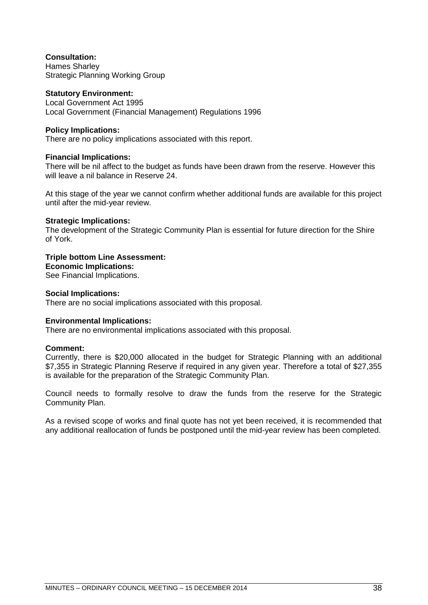# **Consultation:**

Hames Sharley Strategic Planning Working Group

# **Statutory Environment:**

Local Government Act 1995 Local Government (Financial Management) Regulations 1996

# **Policy Implications:**

There are no policy implications associated with this report.

# **Financial Implications:**

There will be nil affect to the budget as funds have been drawn from the reserve. However this will leave a nil balance in Reserve 24.

At this stage of the year we cannot confirm whether additional funds are available for this project until after the mid-year review.

# **Strategic Implications:**

The development of the Strategic Community Plan is essential for future direction for the Shire of York.

# **Triple bottom Line Assessment:**

**Economic Implications:**

See Financial Implications.

# **Social Implications:**

There are no social implications associated with this proposal.

# **Environmental Implications:**

There are no environmental implications associated with this proposal.

# **Comment:**

Currently, there is \$20,000 allocated in the budget for Strategic Planning with an additional \$7,355 in Strategic Planning Reserve if required in any given year. Therefore a total of \$27,355 is available for the preparation of the Strategic Community Plan.

Council needs to formally resolve to draw the funds from the reserve for the Strategic Community Plan.

As a revised scope of works and final quote has not yet been received, it is recommended that any additional reallocation of funds be postponed until the mid-year review has been completed.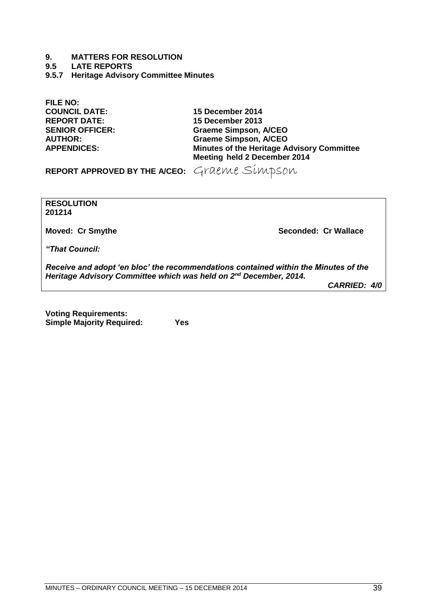**9.5 LATE REPORTS**

<span id="page-38-0"></span>**9.5.7 Heritage Advisory Committee Minutes**

**FILE NO: COUNCIL DATE: 15 December 2014 REPORT DATE: 15 December 2013**

**SENIOR OFFICER: Graeme Simpson, A/CEO AUTHOR: Graeme Simpson, A/CEO APPENDICES: Minutes of the Heritage Advisory Committee Meeting held 2 December 2014**

REPORT APPROVED BY THE A/CEO: Graeme Simpson

**RESOLUTION 201214**

**Moved: Cr Smythe Seconded: Cr Wallace**

*"That Council:*

*Receive and adopt 'en bloc' the recommendations contained within the Minutes of the Heritage Advisory Committee which was held on 2nd December, 2014.*

*CARRIED: 4/0*

**Voting Requirements: Simple Majority Required: Yes**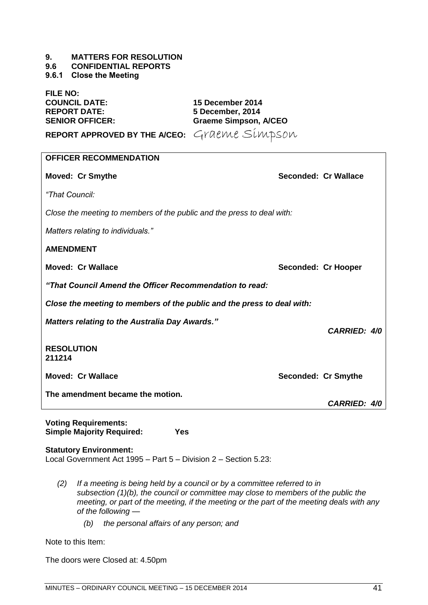#### <span id="page-40-0"></span>**9.6 CONFIDENTIAL REPORTS**

<span id="page-40-1"></span>**9.6.1 Close the Meeting**

**FILE NO: COUNCIL DATE: 15 December 2014 REPORT DATE: 5 December, 2014**

**SENIOR OFFICER: Graeme Simpson, A/CEO**

**REPORT APPROVED BY THE A/CEO:** Graeme Simpson

| <b>OFFICER RECOMMENDATION</b>                                                 |                     |                      |  |
|-------------------------------------------------------------------------------|---------------------|----------------------|--|
| <b>Moved: Cr Smythe</b>                                                       |                     | Seconded: Cr Wallace |  |
| "That Council:                                                                |                     |                      |  |
| Close the meeting to members of the public and the press to deal with:        |                     |                      |  |
| Matters relating to individuals."                                             |                     |                      |  |
| <b>AMENDMENT</b>                                                              |                     |                      |  |
| <b>Moved: Cr Wallace</b>                                                      | Seconded: Cr Hooper |                      |  |
| "That Council Amend the Officer Recommendation to read:                       |                     |                      |  |
| Close the meeting to members of the public and the press to deal with:        |                     |                      |  |
| <b>Matters relating to the Australia Day Awards."</b>                         |                     | <b>CARRIED: 4/0</b>  |  |
| <b>RESOLUTION</b><br>211214                                                   |                     |                      |  |
| <b>Moved: Cr Wallace</b>                                                      | Seconded: Cr Smythe |                      |  |
| The amendment became the motion.                                              |                     | <b>CARRIED: 4/0</b>  |  |
| <b>Voting Requirements:</b><br><b>Simple Majority Required:</b><br><b>Yes</b> |                     |                      |  |

#### **Statutory Environment:**

Local Government Act 1995 – Part 5 – Division 2 – Section 5.23:

- *(2) If a meeting is being held by a council or by a committee referred to in subsection (1)(b), the council or committee may close to members of the public the meeting, or part of the meeting, if the meeting or the part of the meeting deals with any of the following —*
	- *(b) the personal affairs of any person; and*

Note to this Item:

The doors were Closed at: 4.50pm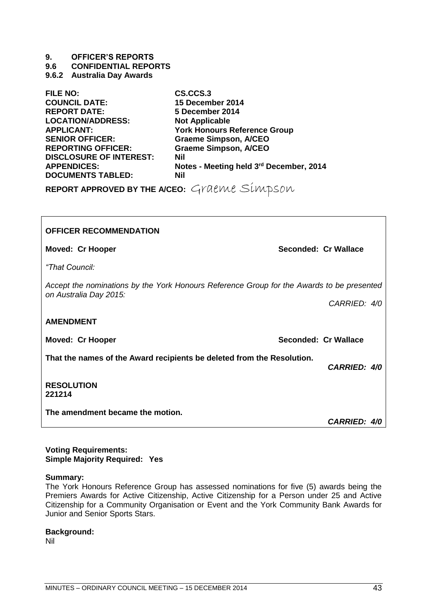# **9. OFFICER'S REPORTS**

**9.6 CONFIDENTIAL REPORTS**

# <span id="page-42-0"></span>**9.6.2 Australia Day Awards**

| <b>FILE NO:</b>                | CS.CCS.3                                |
|--------------------------------|-----------------------------------------|
| <b>COUNCIL DATE:</b>           | 15 December 2014                        |
| <b>REPORT DATE:</b>            | 5 December 2014                         |
| <b>LOCATION/ADDRESS:</b>       | <b>Not Applicable</b>                   |
| <b>APPLICANT:</b>              | <b>York Honours Reference Group</b>     |
| <b>SENIOR OFFICER:</b>         | <b>Graeme Simpson, A/CEO</b>            |
| <b>REPORTING OFFICER:</b>      | <b>Graeme Simpson, A/CEO</b>            |
| <b>DISCLOSURE OF INTEREST:</b> | Nil                                     |
| <b>APPENDICES:</b>             | Notes - Meeting held 3rd December, 2014 |
| <b>DOCUMENTS TABLED:</b>       | <b>Nil</b>                              |
|                                |                                         |

**REPORT APPROVED BY THE A/CEO:** Graeme Simpson

| <b>OFFICER RECOMMENDATION</b>                                                                 |                      |  |  |
|-----------------------------------------------------------------------------------------------|----------------------|--|--|
| <b>Moved: Cr Hooper</b>                                                                       | Seconded: Cr Wallace |  |  |
| "That Council:                                                                                |                      |  |  |
| Accept the nominations by the York Honours Reference Group for the Awards to be presented     |                      |  |  |
| on Australia Day 2015:                                                                        | CARRIED: 4/0         |  |  |
| <b>AMENDMENT</b>                                                                              |                      |  |  |
| <b>Moved: Cr Hooper</b>                                                                       | Seconded: Cr Wallace |  |  |
| That the names of the Award recipients be deleted from the Resolution.<br><b>CARRIED: 4/0</b> |                      |  |  |
| <b>RESOLUTION</b><br>221214                                                                   |                      |  |  |
| The amendment became the motion.                                                              | <b>CARRIED: 4/0</b>  |  |  |

#### **Voting Requirements: Simple Majority Required: Yes**

#### **Summary:**

The York Honours Reference Group has assessed nominations for five (5) awards being the Premiers Awards for Active Citizenship, Active Citizenship for a Person under 25 and Active Citizenship for a Community Organisation or Event and the York Community Bank Awards for Junior and Senior Sports Stars.

#### **Background:**

Nil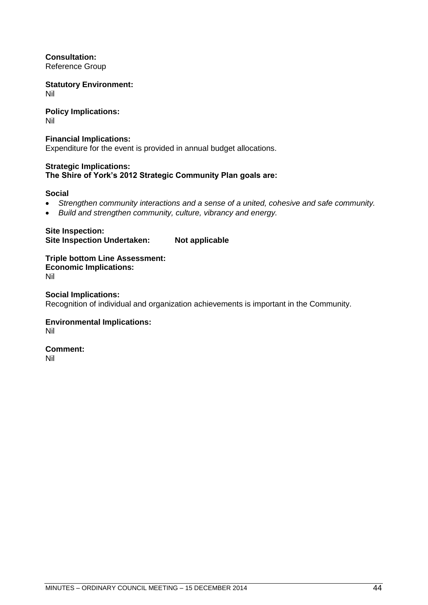**Consultation:** Reference Group

**Statutory Environment:** Nil

**Policy Implications:** Nil

**Financial Implications:** Expenditure for the event is provided in annual budget allocations.

# **Strategic Implications: The Shire of York's 2012 Strategic Community Plan goals are:**

# **Social**

- *Strengthen community interactions and a sense of a united, cohesive and safe community.*
- *Build and strengthen community, culture, vibrancy and energy.*

**Site Inspection: Site Inspection Undertaken: Not applicable**

**Triple bottom Line Assessment: Economic Implications:** Nil

**Social Implications:** Recognition of individual and organization achievements is important in the Community.

**Environmental Implications:** Nil

**Comment:** Nil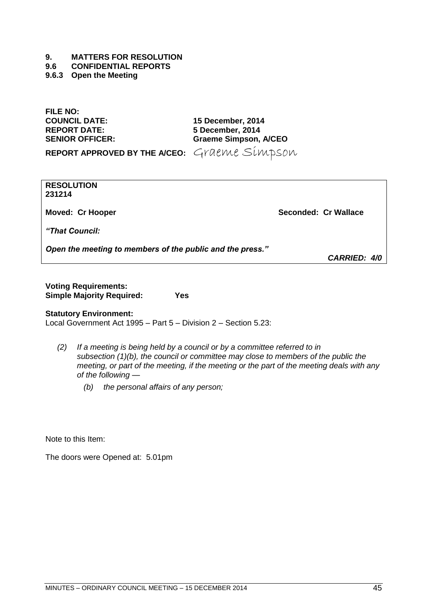#### **9.6 CONFIDENTIAL REPORTS**

<span id="page-44-0"></span>**9.6.3 Open the Meeting**

**FILE NO: COUNCIL DATE: 15 December, 2014**

**REPORT DATE: 5 December, 2014 SENIOR OFFICER: Graeme Simpson, A/CEO**

**REPORT APPROVED BY THE A/CEO:** Graeme Simpson

**RESOLUTION 231214**

**Moved: Cr Hooper Seconded: Cr Wallace**

*"That Council:*

*Open the meeting to members of the public and the press."*

*CARRIED: 4/0*

| <b>Voting Requirements:</b>      |     |
|----------------------------------|-----|
| <b>Simple Majority Required:</b> | Yes |

# **Statutory Environment:**

Local Government Act 1995 – Part 5 – Division 2 – Section 5.23:

- *(2) If a meeting is being held by a council or by a committee referred to in subsection (1)(b), the council or committee may close to members of the public the meeting, or part of the meeting, if the meeting or the part of the meeting deals with any of the following —*
	- *(b) the personal affairs of any person;*

Note to this Item:

The doors were Opened at: 5.01pm